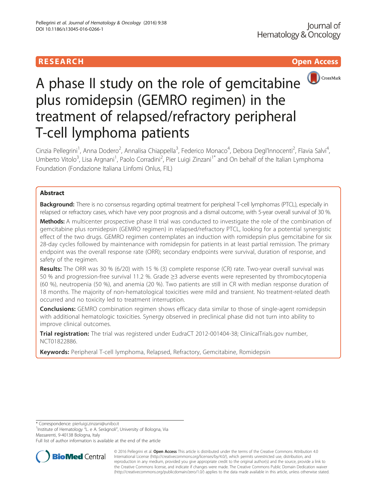## **RESEARCH CHINESE ARCH CHINESE ARCH CHINESE ARCH**



# A phase II study on the role of gemcitabine plus romidepsin (GEMRO regimen) in the treatment of relapsed/refractory peripheral T-cell lymphoma patients

Cinzia Pellegrini<sup>1</sup>, Anna Dodero<sup>2</sup>, Annalisa Chiappella<sup>3</sup>, Federico Monaco<sup>4</sup>, Debora Degl'Innocenti<sup>2</sup>, Flavia Salvi<sup>4</sup> , Umberto Vitolo<sup>3</sup>, Lisa Argnani<sup>1</sup>, Paolo Corradini<sup>2</sup>, Pier Luigi Zinzani<sup>1\*</sup> and On behalf of the Italian Lymphoma Foundation (Fondazione Italiana Linfomi Onlus, FIL)

## Abstract

Background: There is no consensus regarding optimal treatment for peripheral T-cell lymphomas (PTCL), especially in relapsed or refractory cases, which have very poor prognosis and a dismal outcome, with 5-year overall survival of 30 %.

Methods: A multicenter prospective phase II trial was conducted to investigate the role of the combination of gemcitabine plus romidepsin (GEMRO regimen) in relapsed/refractory PTCL, looking for a potential synergistic effect of the two drugs. GEMRO regimen contemplates an induction with romidepsin plus gemcitabine for six 28-day cycles followed by maintenance with romidepsin for patients in at least partial remission. The primary endpoint was the overall response rate (ORR); secondary endpoints were survival, duration of response, and safety of the regimen.

Results: The ORR was 30 % (6/20) with 15 % (3) complete response (CR) rate. Two-year overall survival was 50 % and progression-free survival 11.2 %. Grade ≥3 adverse events were represented by thrombocytopenia (60 %), neutropenia (50 %), and anemia (20 %). Two patients are still in CR with median response duration of 18 months. The majority of non-hematological toxicities were mild and transient. No treatment-related death occurred and no toxicity led to treatment interruption.

**Conclusions:** GEMRO combination regimen shows efficacy data similar to those of single-agent romidepsin with additional hematologic toxicities. Synergy observed in preclinical phase did not turn into ability to improve clinical outcomes.

Trial registration: The trial was registered under EudraCT 2012-001404-38; ClinicalTrials.gov number, [NCT01822886](https://clinicaltrials.gov/ct2/show/NCT01822886?term=gemro&rank=1).

Keywords: Peripheral T-cell lymphoma, Relapsed, Refractory, Gemcitabine, Romidepsin

<sup>1</sup>Institute of Hematology "L. e A. Seràgnoli", University of Bologna, Via Massarenti, 9-40138 Bologna, Italy

Full list of author information is available at the end of the article



© 2016 Pellegrini et al. Open Access This article is distributed under the terms of the Creative Commons Attribution 4.0 International License [\(http://creativecommons.org/licenses/by/4.0/](http://creativecommons.org/licenses/by/4.0/)), which permits unrestricted use, distribution, and reproduction in any medium, provided you give appropriate credit to the original author(s) and the source, provide a link to the Creative Commons license, and indicate if changes were made. The Creative Commons Public Domain Dedication waiver [\(http://creativecommons.org/publicdomain/zero/1.0/](http://creativecommons.org/publicdomain/zero/1.0/)) applies to the data made available in this article, unless otherwise stated.

<sup>\*</sup> Correspondence: [pierluigi.zinzani@unibo.it](mailto:pierluigi.zinzani@unibo.it) <sup>1</sup>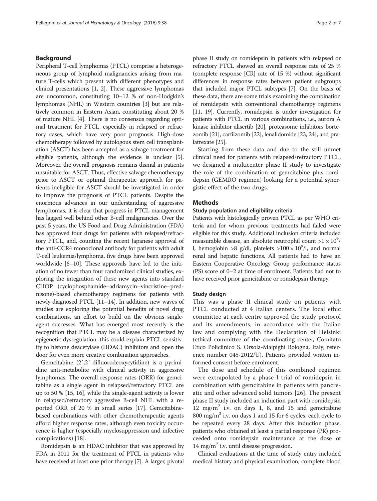## Background

Peripheral T-cell lymphomas (PTCL) comprise a heterogeneous group of lymphoid malignancies arising from mature T-cells which present with different phenotypes and clinical presentations [\[1, 2\]](#page-5-0). These aggressive lymphomas are uncommon, constituting 10–12 % of non-Hodgkin's lymphomas (NHL) in Western countries [\[3](#page-5-0)] but are relatively common in Eastern Asian, constituting about 20 % of mature NHL [\[4](#page-5-0)]. There is no consensus regarding optimal treatment for PTCL, especially in relapsed or refractory cases, which have very poor prognosis. High-dose chemotherapy followed by autologous stem cell transplantation (ASCT) has been accepted as a salvage treatment for eligible patients, although the evidence is unclear [[5](#page-5-0)]. Moreover, the overall prognosis remains dismal in patients unsuitable for ASCT. Thus, effective salvage chemotherapy prior to ASCT or optimal therapeutic approach for patients ineligible for ASCT should be investigated in order to improve the prognosis of PTCL patients. Despite the enormous advances in our understanding of aggressive lymphomas, it is clear that progress in PTCL management has lagged well behind other B-cell malignancies. Over the past 5 years, the US Food and Drug Administration (FDA) has approved four drugs for patients with relapsed/refractory PTCL, and, counting the recent Japanese approval of the anti-CCR4 monoclonal antibody for patients with adult T-cell leukemia/lymphoma, five drugs have been approved worldwide [\[6](#page-5-0)–[10](#page-5-0)]. These approvals have led to the initiation of no fewer than four randomized clinical studies, exploring the integration of these new agents into standard CHOP (cyclophosphamide–adriamycin–vincristine–prednisone)-based chemotherapy regimens for patients with newly diagnosed PTCL [\[11](#page-5-0)–[14\]](#page-5-0). In addition, new waves of studies are exploring the potential benefits of novel drug combinations, an effort to build on the obvious singleagent successes. What has emerged most recently is the recognition that PTCL may be a disease characterized by epigenetic dysregulation: this could explain PTCL sensitivity to histone deacetylase (HDAC) inhibitors and open the door for even more creative combination approaches.

Gemcitabine (2′,2′-difluorodeoxycytidine) is a pyrimidine anti-metabolite with clinical activity in aggressive lymphomas. The overall response rates (ORR) for gemcitabine as a single agent in relapsed/refractory PTCL are up to 50 % [[15](#page-5-0), [16\]](#page-5-0), while the single-agent activity is lower in relapsed/refractory aggressive B-cell NHL with a reported ORR of 20 % in small series [[17](#page-5-0)]. Gemcitabinebased combinations with other chemotherapeutic agents afford higher response rates, although even toxicity occurrence is higher (especially myelosuppression and infective complications) [\[18\]](#page-5-0).

Romidepsin is an HDAC inhibitor that was approved by FDA in 2011 for the treatment of PTCL in patients who have received at least one prior therapy [\[7\]](#page-5-0). A larger, pivotal phase II study on romidepsin in patients with relapsed or refractory PTCL showed an overall response rate of 25 % (complete response [CR] rate of 15 %) without significant differences in response rates between patient subgroups that included major PTCL subtypes [\[7\]](#page-5-0). On the basis of these data, there are some trials examining the combination of romidepsin with conventional chemotherapy regimens [[11](#page-5-0), [19](#page-5-0)]. Currently, romidepsin is under investigation for patients with PTCL in various combinations, i.e., aurora A kinase inhibitor alisertib [[20](#page-5-0)], proteasome inhibitors bortezomib [[21](#page-5-0)], carfilzomib [\[22](#page-5-0)], lenalidomide [[23](#page-5-0), [24\]](#page-5-0), and pralatrexate [[25](#page-6-0)].

Starting from these data and due to the still unmet clinical need for patients with relapsed/refractory PTCL, we designed a multicenter phase II study to investigate the role of the combination of gemcitabine plus romidepsin (GEMRO regimen) looking for a potential synergistic effect of the two drugs.

## Methods

## Study population and eligibility criteria

Patients with histologically proven PTCL as per WHO criteria and for whom previous treatments had failed were eligible for this study. Additional inclusion criteria included measurable disease, an absolute neutrophil count  $>1 \times 10^9/$ l, hemoglobin >8 g/dl, platelets >100  $\times$  10<sup>9</sup>/l, and normal renal and hepatic functions. All patients had to have an Eastern Cooperative Oncology Group performance status (PS) score of 0–2 at time of enrolment. Patients had not to have received prior gemcitabine or romidepsin therapy.

## Study design

This was a phase II clinical study on patients with PTCL conducted at 4 Italian centers. The local ethic committee at each centre approved the study protocol and its amendments, in accordance with the Italian law and complying with the Declaration of Helsinki (ethical committee of the coordinating center, Comitato Etico Policlinico S. Orsola-Malpighi Bologna, Italy; reference number 045-2012/U). Patients provided written informed consent before enrolment.

The dose and schedule of this combined regimen were extrapolated by a phase I trial of romidepsin in combination with gemcitabine in patients with pancreatic and other advanced solid tumors [[26](#page-6-0)]. The present phase II study included an induction part with romidepsin 12 mg/m<sup>2</sup> i.v. on days 1, 8, and 15 and gemcitabine 800 mg/m<sup>2</sup> i.v. on days 1 and 15 for 6 cycles, each cycle to be repeated every 28 days. After this induction phase, patients who obtained at least a partial response (PR) proceeded onto romidepsin maintenance at the dose of 14 mg/m<sup>2</sup> i.v. until disease progression.

Clinical evaluations at the time of study entry included medical history and physical examination, complete blood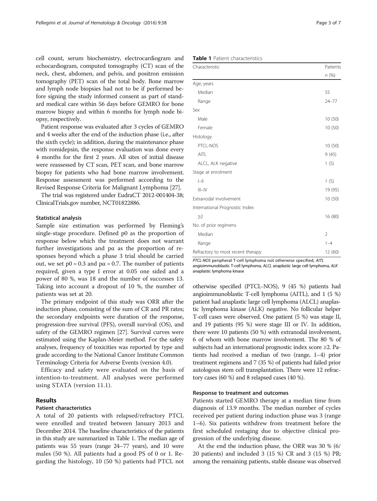cell count, serum biochemistry, electrocardiogram and echocardiogram, computed tomography (CT) scan of the neck, chest, abdomen, and pelvis, and positron emission tomography (PET) scan of the total body. Bone marrow and lymph node biopsies had not to be if performed before signing the study informed consent as part of standard medical care within 56 days before GEMRO for bone marrow biopsy and within 6 months for lymph node biopsy, respectively.

Patient response was evaluated after 3 cycles of GEMRO and 4 weeks after the end of the induction phase (i.e., after the sixth cycle); in addition, during the maintenance phase with romidepsin, the response evaluation was done every 4 months for the first 2 years. All sites of initial disease were reassessed by CT scan, PET scan, and bone marrow biopsy for patients who had bone marrow involvement. Response assessment was performed according to the Revised Response Criteria for Malignant Lymphoma [[27](#page-6-0)].

The trial was registered under EudraCT 2012-001404-38; ClinicalTrials.gov number, NCT01822886.

#### Statistical analysis

Sample size estimation was performed by Fleming's single-stage procedure. Defined p0 as the proportion of response below which the treatment does not warrant further investigations and  $p\alpha$  as the proportion of responses beyond which a phase 3 trial should be carried out, we set  $p0 = 0.3$  and  $p\alpha = 0.7$ . The number of patients required, given a type I error at 0.05 one sided and a power of 80 %, was 18 and the number of successes 13. Taking into account a dropout of 10 %, the number of patients was set at 20.

The primary endpoint of this study was ORR after the induction phase, consisting of the sum of CR and PR rates; the secondary endpoints were duration of the response, progression-free survival (PFS), overall survival (OS), and safety of the GEMRO regimen [\[27\]](#page-6-0). Survival curves were estimated using the Kaplan-Meier method. For the safety analyses, frequency of toxicities was reported by type and grade according to the National Cancer Institute Common Terminology Criteria for Adverse Events (version 4.0).

Efficacy and safety were evaluated on the basis of intention-to-treatment. All analyses were performed using STATA (version 11.1).

## Results

## Patient characteristics

A total of 20 patients with relapsed/refractory PTCL were enrolled and treated between January 2013 and December 2014. The baseline characteristics of the patients in this study are summarized in Table 1. The median age of patients was 55 years (range 24–77 years), and 10 were males (50 %). All patients had a good PS of 0 or 1. Regarding the histology, 10 (50 %) patients had PTCL not

| <b>Table 1</b> Patient characteristics |  |
|----------------------------------------|--|
|----------------------------------------|--|

| Characteristic                    |                |  |  |  |  |
|-----------------------------------|----------------|--|--|--|--|
|                                   | n(%)           |  |  |  |  |
| Age, years                        |                |  |  |  |  |
| Median                            | 55             |  |  |  |  |
| Range                             | $24 - 77$      |  |  |  |  |
| Sex                               |                |  |  |  |  |
| Male                              | 10(50)         |  |  |  |  |
| Female                            | 10(50)         |  |  |  |  |
| Histology                         |                |  |  |  |  |
| PTCL-NOS                          | 10(50)         |  |  |  |  |
| AITL                              | 9(45)          |  |  |  |  |
| ALCL, ALK negative                | 1(5)           |  |  |  |  |
| Stage at enrolment                |                |  |  |  |  |
| $\left\  - \right\ $              | 1(5)           |  |  |  |  |
| $III - IV$                        | 19 (95)        |  |  |  |  |
| Extranodal involvement            |                |  |  |  |  |
| International Prognostic Index    |                |  |  |  |  |
| $\geq$ 2                          | 16 (80)        |  |  |  |  |
| No. of prior regimens             |                |  |  |  |  |
| Median                            | $\overline{2}$ |  |  |  |  |
| Range                             | $1 - 4$        |  |  |  |  |
| Refractory to most recent therapy |                |  |  |  |  |

PTCL-NOS peripheral T-cell lymphoma not otherwise specified, AITL angioimmunoblastic T-cell lymphoma, ALCL anaplastic large cell lymphoma, ALK anaplastic lymphoma kinase

otherwise specified (PTCL-NOS), 9 (45 %) patients had angioimmunoblastic T-cell lymphoma (AITL), and 1 (5 %) patient had anaplastic large cell lymphoma (ALCL) anaplastic lymphoma kinase (ALK) negative. No follicular helper T-cell cases were observed. One patient (5 %) was stage II, and 19 patients (95 %) were stage III or IV. In addition, there were 10 patients (50 %) with extranodal involvement, 6 of whom with bone marrow involvement. The 80 % of subjects had an international prognostic index score ≥2. Patients had received a median of two (range, 1–4) prior treatment regimens and 7 (35 %) of patients had failed prior autologous stem cell transplantation. There were 12 refractory cases (60 %) and 8 relapsed cases (40 %).

### Response to treatment and outcomes

Patients started GEMRO therapy at a median time from diagnosis of 13.9 months. The median number of cycles received per patient during induction phase was 3 (range 1–6). Six patients withdrew from treatment before the first scheduled restaging due to objective clinical progression of the underlying disease.

At the end the induction phase, the ORR was 30 % (6/ 20 patients) and included 3 (15 %) CR and 3 (15 %) PR; among the remaining patients, stable disease was observed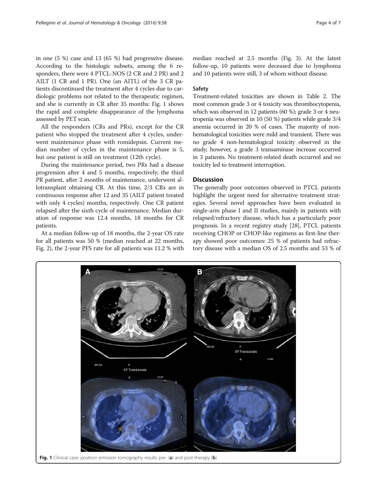in one (5 %) case and 13 (65 %) had progressive disease. According to the histologic subsets, among the 6 responders, there were 4 PTCL-NOS (2 CR and 2 PR) and 2 AILT (1 CR and 1 PR). One (an AITL) of the 3 CR patients discontinued the treatment after 4 cycles due to cardiologic problems not related to the therapeutic regimen, and she is currently in CR after 35 months: Fig. 1 shows the rapid and complete disappearance of the lymphoma assessed by PET scan.

All the responders (CRs and PRs), except for the CR patient who stopped the treatment after 4 cycles, underwent maintenance phase with romidepsin. Current median number of cycles in the maintenance phase is 5, but one patient is still on treatment (12th cycle).

During the maintenance period, two PRs had a disease progression after 4 and 5 months, respectively; the third PR patient, after 2 months of maintenance, underwent allotransplant obtaining CR. At this time, 2/3 CRs are in continuous response after 12 and 35 (AILT patient treated with only 4 cycles) months, respectively. One CR patient relapsed after the sixth cycle of maintenance. Median duration of response was 12.4 months, 18 months for CR patients.

At a median follow-up of 18 months, the 2-year OS rate for all patients was 50 % (median reached at 22 months, Fig. [2](#page-4-0)), the 2-year PFS rate for all patients was 11.2 % with

median reached at 2.5 months (Fig. [3](#page-4-0)). At the latest follow-up, 10 patients were deceased due to lymphoma and 10 patients were still, 3 of whom without disease.

## Safety

Treatment-related toxicities are shown in Table [2](#page-4-0). The most common grade 3 or 4 toxicity was thrombocytopenia, which was observed in 12 patients (60 %); grade 3 or 4 neutropenia was observed in 10 (50 %) patients while grade 3/4 anemia occurred in 20 % of cases. The majority of nonhematological toxicities were mild and transient. There was no grade 4 non-hematological toxicity observed in the study; however, a grade 3 transaminase increase occurred in 3 patients. No treatment-related death occurred and no toxicity led to treatment interruption.

## **Discussion**

The generally poor outcomes observed in PTCL patients highlight the urgent need for alternative treatment strategies. Several novel approaches have been evaluated in single-arm phase I and II studies, mainly in patients with relapsed/refractory disease, which has a particularly poor prognosis. In a recent registry study [[28](#page-6-0)], PTCL patients receiving CHOP or CHOP-like regimens as first-line therapy showed poor outcomes: 25 % of patients had refractory disease with a median OS of 2.5 months and 53 % of

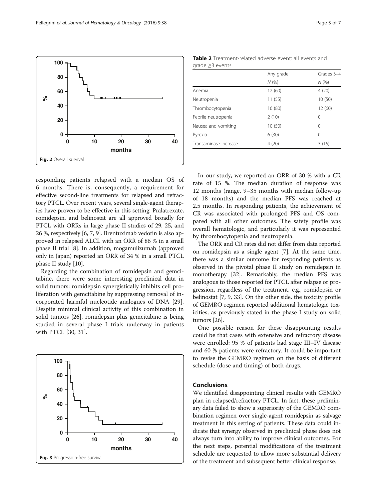<span id="page-4-0"></span>

responding patients relapsed with a median OS of 6 months. There is, consequently, a requirement for effective second-line treatments for relapsed and refractory PTCL. Over recent years, several single-agent therapies have proven to be effective in this setting. Pralatrexate, romidepsin, and belinostat are all approved broadly for PTCL with ORRs in large phase II studies of 29, 25, and 26 %, respectively [\[6](#page-5-0), [7, 9](#page-5-0)]. Brentuximab vedotin is also approved in relapsed ALCL with an ORR of 86 % in a small phase II trial [\[8](#page-5-0)]. In addition, mogamulizumab (approved only in Japan) reported an ORR of 34 % in a small PTCL phase II study [\[10\]](#page-5-0).

Regarding the combination of romidepsin and gemcitabine, there were some interesting preclinical data in solid tumors: romidepsin synergistically inhibits cell proliferation with gemcitabine by suppressing removal of incorporated harmful nucleotide analogues of DNA [\[29](#page-6-0)]. Despite minimal clinical activity of this combination in solid tumors [[26\]](#page-6-0), romidepsin plus gemcitabine is being studied in several phase I trials underway in patients with PTCL [[30, 31](#page-6-0)].



Table 2 Treatment-related adverse event: all events and grade ≥3 events

|   |    |        |    |    |                       | Any grade | Grades 3-4 |
|---|----|--------|----|----|-----------------------|-----------|------------|
|   |    |        |    |    |                       | N(%       | N(%        |
|   |    |        |    |    | Anemia                | 12(60)    | 4(20)      |
|   |    | .      |    |    | Neutropenia           | 11(55)    | 10(50)     |
|   |    |        |    |    | Thrombocytopenia      | 16(80)    | 12(60)     |
|   |    |        |    |    | Febrile neutropenia   | 2(10)     | $\Omega$   |
|   |    |        |    |    | Nausea and vomiting   | 10(50)    | $\Omega$   |
|   |    |        |    |    | Pyrexia               | 6(30)     | 0          |
| 0 | 10 | 20     | 30 | 40 | Transaminase increase | 4(20)     | 3(15)      |
|   |    | montho |    |    |                       |           |            |

In our study, we reported an ORR of 30 % with a CR rate of 15 %. The median duration of response was 12 months (range, 9–35 months with median follow-up of 18 months) and the median PFS was reached at 2.5 months. In responding patients, the achievement of CR was associated with prolonged PFS and OS compared with all other outcomes. The safety profile was overall hematologic, and particularly it was represented by thrombocytopenia and neutropenia.

The ORR and CR rates did not differ from data reported on romidepsin as a single agent [[7](#page-5-0)]. At the same time, there was a similar outcome for responding patients as observed in the pivotal phase II study on romidepsin in monotherapy [\[32\]](#page-6-0). Remarkably, the median PFS was analogous to those reported for PTCL after relapse or progression, regardless of the treatment, e.g., romidepsin or belinostat [[7, 9](#page-5-0), [33](#page-6-0)]. On the other side, the toxicity profile of GEMRO regimen reported additional hematologic toxicities, as previously stated in the phase I study on solid tumors [\[26\]](#page-6-0).

One possible reason for these disappointing results could be that cases with extensive and refractory disease were enrolled: 95 % of patients had stage III–IV disease and 60 % patients were refractory. It could be important to revise the GEMRO regimen on the basis of different schedule (dose and timing) of both drugs.

## Conclusions

We identified disappointing clinical results with GEMRO plan in relapsed/refractory PTCL. In fact, these preliminary data failed to show a superiority of the GEMRO combination regimen over single-agent romidepsin as salvage treatment in this setting of patients. These data could indicate that synergy observed in preclinical phase does not always turn into ability to improve clinical outcomes. For the next steps, potential modifications of the treatment schedule are requested to allow more substantial delivery of the treatment and subsequent better clinical response.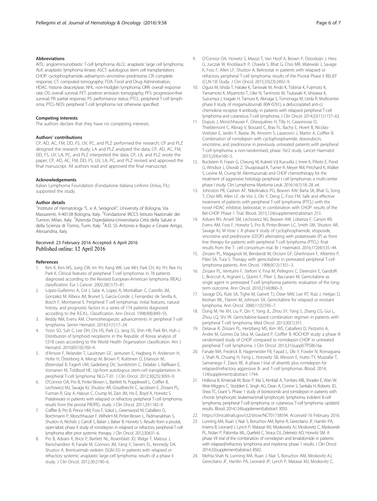## <span id="page-5-0"></span>Abbreviations

AITL: angioimmunoblastic T-cell lymphoma; ALCL: anaplastic large cell lymphoma; ALK: anaplastic lymphoma kinase; ASCT: autologous stem cell transplantation; CHOP: cyclophosphamide–adriamycin–vincristine–prednisone; CR: complete response; CT: computed tomography; FDA: Food and Drug Administration; HDAC: histone deacetylase; NHL: non-Hodgkin lymphoma; ORR: overall response rate; OS: overall survival; PET: positron emission tomography; PFS: progression-free survival; PR: partial response; PS: performance status; PTCL: peripheral T-cell lymphoma; PTCL-NOS: peripheral T-cell lymphoma not otherwise specified.

#### Competing interests

The authors declare that they have no competing interests.

#### Authors' contributions

CP, AD, AC, FM, DD, FS, UV, PC, and PLZ performed the research; CP and PLZ designed the research study; LA and PLZ analyzed the data; CP, AD, AC, FM, DD, FS, UV, LA, PC, and PLZ interpreted the data; CP, LA, and PLZ wrote the paper; CP, AD, AC, FM, DD, FS, UV, LA, PC, and PLZ revised and approved the final manuscript. All authors read and approved the final manuscript.

#### Acknowledgements

Italian Lymphoma Foundation (Fondazione Italiana Linfomi Onlus, FIL) supported the study.

#### Author details

<sup>1</sup>Institute of Hematology "L. e A. Seràgnoli", University of Bologna, Via Massarenti, 9-40138 Bologna, Italy. <sup>2</sup>Fondazione IRCCS Istituto Nazionale dei Tumori, Milan, Italy. <sup>3</sup>Azienda Ospedaliera-Universitaria Città della Salute e della Scienza di Torino, Turin, Italy. <sup>4</sup>A.O. SS Antonio e Biagio e Cesare Arrigo, Alessandria, Italy.

### Received: 23 February 2016 Accepted: 6 April 2016 Published online: 12 April 2016

#### References

- 1. Kim K, Kim WS, Jung CW, Im YH, Kang WK, Lee MH, Park CH, Ko YH, Ree HJ, Park K. Clinical features of peripheral T-cell lymphomas in 78 patients diagnosed according to the Revised European-American lymphoma (REAL) classification. Eur J Cancer. 2002;38(1):75–81.
- 2. Lopez-Guillermo A, Cid J, Salar A, Lopez A, Montalban C, Castrillo JM, Gonzalez M, Ribera JM, Brunet S, Garcia-Conde J, Fernandez de Sevilla A, Bosch F, Montserrat E. Peripheral T cell lymphomas: initial features, natural history, and prognostic factors in a series of 174 patients diagnosed according to the R.E.A.L. Classification. Ann Oncol. 1998;9(8):849–55.
- 3. Reddy NM, Evens AM. Chemotherapeutic advancements in peripheral T-cell lymphoma. Semin Hematol. 2014;51(1):17–24.
- Yoon SO, Suh C, Lee DH, Chi HS, Park CJ, Jang SS, Shin HR, Park BH, Huh J. Distribution of lymphoid neoplasms in the Republic of Korea: analysis of 5318 cases according to the World Health Organization classification. Am J Hematol. 2010;85(10):760–4.
- d'Amore F, Relander T, Lauritzsen GF, Jantunen E, Hagberg H, Anderson H, Holte H, Österborg A, Merup M, Brown P, Kuittinen O, Erlanson M, Østenstad B, Fagerli UM, Gadeberg OV, Sundström C, Delabie J, Ralfkiaer E, Vornanen M, Toldbod HE. Up-front autologous stem-cell transplantation in peripheral T-cell lymphoma: NLG-T-01. J Clin Oncol. 2012;30(25):3093–9.
- 6. O'Connor OA, Pro B, Pinter-Brown L, Bartlett N, Popplewell L, Coiffier B, Lechowicz MJ, Savage KJ, Shustov AR, Gisselbrecht C, Jacobsen E, Zinzani PL, Furman R, Goy A, Haioun C, Crump M, Zain JM, Hsi E, Boyd A, Horwitz S. Pralatrexate in patients with relapsed or refractory peripheral T-cell lymphoma: results from the pivotal PROPEL study. J Clin Oncol. 2011;29:1182–9.
- 7. Coiffier B, Pro B, Prince HM, Foss F, Sokol L, Greenwood M, Caballero D, Borchmann P, Morschhauser F, Wilhelm M, Pinter-Brown L, Padmanabhan S, Shustov A, Nichols J, Carroll S, Balser J, Balser B, Horwitz S. Results from a pivotal, open-label, phase II study of romidepsin in relapsed or refractory peripheral T-cell lymphoma after prior systemic therapy. J Clin Oncol. 2012;30:631–6.
- Pro B, Advani R, Brice P, Bartlett NL, Rosenblatt JD, Illidge T, Matous J, Ramchandren R, Fanale M, Connors JM, Yang Y, Sievers EL, Kennedy DA, Shustov A. Brentuximab vedotin (SGN-35) in patients with relapsed or refractory systemic anaplastic large-cell lymphoma: results of a phase II study. J Clin Oncol. 2012;30:2190–6.
- 9. O'Connor OA, Horwitz S, Masszi T, Van Hoof A, Brown P, Doorduijn J, Hess G, Jurczak W, Knoblauch P, Chawla S, Bhat G, Choi MR, Walewski J, Savage K, Foss F, Allen LF, Shustov A. Belinostat in patients with relapsed or refractory peripheral T-cell lymphoma: results of the Pivotal Phase II BELIEF (CLN-19) Study. J Clin Oncol. 2015;33(23):2492–9.
- 10. Ogura M, Ishida T, Hatake K, Taniwaki M, Ando K, Tobinai K, Fujimoto K, Yamamoto K, Miyamoto T, Uike N, Tanimoto M, Tsukasaki K, Ishizawa K, Suzumiya J, Inagaki H, Tamura K, Akinaga S, Tomonaga M, Ueda R. Multicenter phase II study of mogamulizumab (KW-0761), a defucosylated anti-cc chemokine receptor 4 antibody, in patients with relapsed peripheral T-cell lymphoma and cutaneous T-cell lymphoma. J Clin Oncol. 2014;32(11):1157–63.
- 11. Dupuis J, Morschhauser F, Ghesquières H, Tilly H, Casasnovas O, Thieblemont C, Ribrag V, Bossard C, Bras FL, Bachy E, Hivert B, Nicolas-Virelizier E, Jardin F, Bastie JN, Amorim S, Lazarovici J, Martin A, Coiffier B. Combination of romidepsin with cyclophosphamide, doxorubicin, vincristine, and prednisone in previously untreated patients with peripheral T-cell lymphoma: a non-randomised, phase 1b/2 study. Lancet Haematol. 2015;2(4):e160–5.
- 12. Buckstein R, Fraser G, Cheung M, Kukreti VJj Kuruvilla J, Imrie K, Piliotis E, Pond G, Windsor J, Ghorab Z, Shuoprasad K, Turner R, Meyer RM, Pritchard K, Walker S, Levine M, Crump M. Alemtuzumab and CHOP chemotherapy for the treatment of aggressive histology peripheral t cell lymphomas: a multi-center phase I study. Clin Lymphoma Myeloma Leuk. 2016;16(1):18–28. e4.
- 13. Johnston PB, Cashen AF, Nikolinakos PG, Beaven AW, Barta SK, Bhat G, Song T, Choi MR, Allen LF, de Vos S, Oki Y, Deng C, Foss FM. Safe and effective treatment of patients with peripheral T-cell lymphoma (PTCL) with the novel HDAC inhibitor, belinostat, in combination with CHOP: results of the Bel-CHOP Phase 1 Trial. Blood. 2015;124(supplement):abstract 253.
- 14. Advani RH, Ansell SM, Lechowicz MJ, Beaven AW, Loberiza F, Carson KR, Evens AM, Foss F, Horwitz S, Pro B, Pinter-Brown LC, Smith SM, Shustov AR, Savage KJ, M Vose J. A phase II study of cyclophosphamide, etoposide, vincristine and prednisone (CEOP) alternating with pralatrexate (P) as front line therapy for patients with peripheral T-cell lymphoma (PTCL): final results from the T- cell consortium trial. Br J Haematol. 2016;172(4):535–44.
- 15. Zinzani PL, Magagnoli M, Bendandi M, Orcioni GF, Gherlinzoni F, Albertini P, Pileri SA, Tura S. Therapy with gemcitabine in pretreated peripheral T-cell lymphoma patients. Ann Oncol. 1998;9(12):1351–3.
- 16. Zinzani PL, Venturini F, Stefoni V, Fina M, Pellegrini C, Derenzini E, Gandolfi L, Broccoli A, Argnani L, Quirini F, Pileri S, Baccarani M. Gemcitabine as single agent in pretreated T-cell lymphoma patients: evaluation of the longterm outcome. Ann Oncol. 2010;21(4):860–3.
- 17. Savage DG, Rule SA, Tighe M, Garrett TJ, Oster MW, Lee RT, Ruiz J, Heitjan D, Keohan ML, Flamm M, Johnson SA. Gemcitabine for relapsed or resistant lymphoma. Ann Oncol. 2000;11(5):595–7.
- 18. Dong M, He XH, Liu P, Qin Y, Yang JL, Zhou SY, Yang S, Zhang CG, Gui L, Zhou LQ, Shi YK. Gemcitabine-based combination regimen in patients with peripheral T-cell lymphoma. Med Oncol. 2013;30(1):351.
- 19. Delarue R, Zinzani PL, Hertzberg MS, Kim WS, Caballero D, Pezzutto A, Andre M, Gomes Da Silva M, Gaulard P, Coiffier B. ROCHOP study: a phase III randomized study of CHOP compared to romidepsin-CHOP in untreated peripheral T-cell lymphoma. J Clin Oncol. 2013;31(suppl):TPS8616a.
- 20. Fanale MA, Fredrick B, Hagemeister FB, Fayad L, Oki Y, Fowler N, Romaguera J, Shah N, Chuang H, Feng L, Horowitz SB, Wesson E, Hutto TY, Muzzafar T, Samaniego F, Davis RE. A phase I trial of alisertib plus romidepsin for relapsed/refractory aggressive B- and T-cell lymphomas. Blood. 2014; 124(supplement):abstract 1744.
- 21. Holkova B, Kmieciak M, Bose P, Ma S, Kimball A, Tombes MB, Shrader E, Wan W, Weir-Wiggins C, Stoddert E, Singh AG, Dean A, Conine S, Sankala H, Roberts JD, Shea TC, Grant S. Phase 1 study of bortezomib and romidepsin in patients with chronic lymphocytic leukemia/small lymphocytic lymphoma, indolent B-cell lymphoma, peripheral T-cell lymphoma, or cutaneous T-cell lymphoma: updated results. Blood. 2014;124(supplement):abstract 3050.
- 22. [https://clinicaltrials.gov/ct2/show/NCT01738594.](https://clinicaltrials.gov/ct2/show/NCT01738594) Accessed 16 February 2016.
- 23. Lunning MA, Ruan J, Nair S, Boruchov AM, Byrne R, Gerecitano JF, Hamlin PA, Inserra B, Leonard J, Lynch P, Matasar MJ, Moskowitz AJ, Moskowitz C, Myskowski PL, Nolan P, Palomba ML, Quefeld C, Straus DJ, Zelenetz AD, Horwitz SM. A phase I/II trial of the combination of romidepsin and lenalidomide in patients with relapsed/refractory lymphoma and myeloma: phase 1 results. J Clin Oncol. 2014;32(supplement):abstract 8582.
- 24. Mehta-Shah N, Lunning MA, Ruan J, Niar S, Boruchov AM, Moskovitz AJ, Gerecitano JF, Hamlin PA, Leonard JP, Lynch P, Matasar MJ, Moskovitz C,